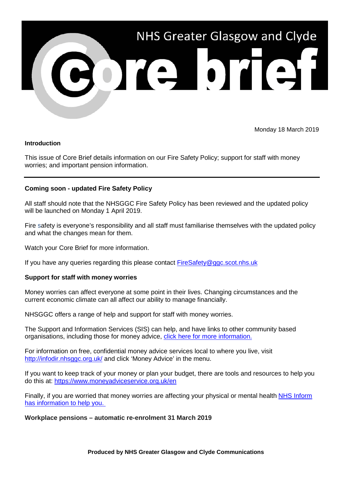

Monday 18 March 2019

## **Introduction**

This issue of Core Brief details information on our Fire Safety Policy; support for staff with money worries; and important pension information.

# **Coming soon - updated Fire Safety Policy**

All staff should note that the NHSGGC Fire Safety Policy has been reviewed and the updated policy will be launched on Monday 1 April 2019.

Fire safety is everyone's responsibility and all staff must familiarise themselves with the updated policy and what the changes mean for them.

Watch your Core Brief for more information.

If you have any queries regarding this please contact [FireSafety@ggc.scot.nhs.uk](mailto:FireSafety@ggc.scot.nhs.uk)

### **Support for staff with money worries**

Money worries can affect everyone at some point in their lives. Changing circumstances and the current economic climate can all affect our ability to manage financially.

NHSGGC offers a range of help and support for staff with money worries.

The Support and Information Services (SIS) can help, and have links to other community based organisations, including those for money advice, [click here for more information.](https://www.nhsggc.org.uk/patients-and-visitors/support-and-information-services/support-and-information-service/?utm_source=Core%20Brief&utm_medium=Email&utm_campaign=Core_Brief_SIS)

For information on free, confidential money advice services local to where you live, visit <http://infodir.nhsggc.org.uk/> and click 'Money Advice' in the menu.

If you want to keep track of your money or plan your budget, there are tools and resources to help you do this at:<https://www.moneyadviceservice.org.uk/en>

Finally, if you are worried that money worries are affecting your physical or mental health NHS [Inform](https://www.nhsinform.scot/healthy-living/mental-wellbeing/stress/coping-with-money-worries?utm_source=Core%20Brief&utm_medium=Email&utm_campaign=Core_Brief_NHS_Inform) has [information](https://www.nhsinform.scot/healthy-living/mental-wellbeing/stress/coping-with-money-worries?utm_source=Core%20Brief&utm_medium=Email&utm_campaign=Core_Brief_NHS_Inform) to help you.

**Workplace pensions – automatic re-enrolment 31 March 2019**

**Produced by NHS Greater Glasgow and Clyde Communications**